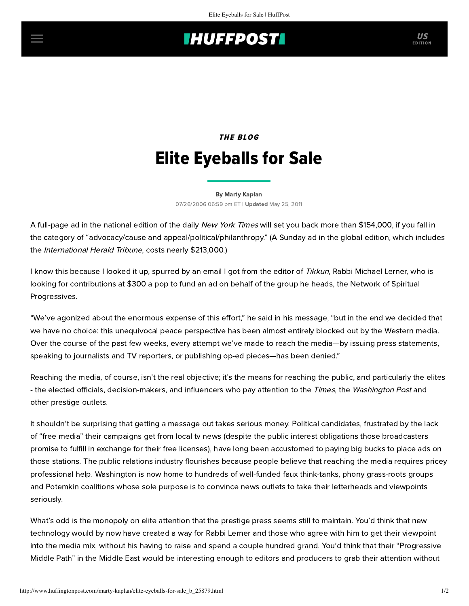## **INUFFPOSTI** US

## THE BLOG Elite Eyeballs for Sale

[By Marty Kaplan](http://www.huffingtonpost.com/author/marty-kaplan) 07/26/2006 06:59 pm ET | Updated May 25, 2011

A full-page ad in the national edition of the daily New York Times will set you back more than \$154,000, if you fall in the category of "advocacy/cause and appeal/political/philanthropy." (A Sunday ad in the global edition, which includes the International Herald Tribune, costs nearly \$213,000.)

I know this because I looked it up, spurred by an email I got from the editor of Tikkun, Rabbi Michael Lerner, who is [looking for contributions at \\$300 a pop to fund](http://www.democracyinaction.org/dia/track.jsp?key=158881314&url_num=8&url=http://www.spiritualprogressives.org) [an ad](http://www.democracyinaction.org/dia/track.jsp?key=158881314&url_num=3&url=http://www.tikkun.org/PeaceAdNYTimes.pdf/download) [on behalf of the group he heads, the Network of Spiritual](http://www.democracyinaction.org/dia/track.jsp?key=158881314&url_num=8&url=http://www.spiritualprogressives.org) Progressives.

"We've agonized about the enormous expense of this effort," he said in his message, "but in the end we decided that we have no choice: this unequivocal peace perspective has been almost entirely blocked out by the Western media. Over the course of the past few weeks, every attempt we've made to reach the media—by issuing press statements, speaking to journalists and TV reporters, or publishing op-ed pieces—has been denied."

Reaching the media, of course, isn't the real objective; it's the means for reaching the public, and particularly the elites - the elected officials, decision-makers, and influencers who pay attention to the Times, the Washington Post and other prestige outlets.

It shouldn't be surprising that getting a message out takes serious money. Political candidates, frustrated by the lack of "free media" their campaigns get from local tv news (despite the public interest obligations those broadcasters promise to fulfill in exchange for their free licenses), have long been accustomed to paying big bucks to place ads on those stations. The public relations industry flourishes because people believe that reaching the media requires pricey professional help. Washington is now home to hundreds of well-funded faux think-tanks, phony grass-roots groups and Potemkin coalitions whose sole purpose is to convince news outlets to take their letterheads and viewpoints seriously.

What's odd is the monopoly on elite attention that the prestige press seems still to maintain. You'd think that new technology would by now have created a way for Rabbi Lerner and those who agree with him to get their viewpoint into the media mix, without his having to raise and spend a couple hundred grand. You'd think that their "Progressive Middle Path" in the Middle East would be interesting enough to editors and producers to grab their attention without